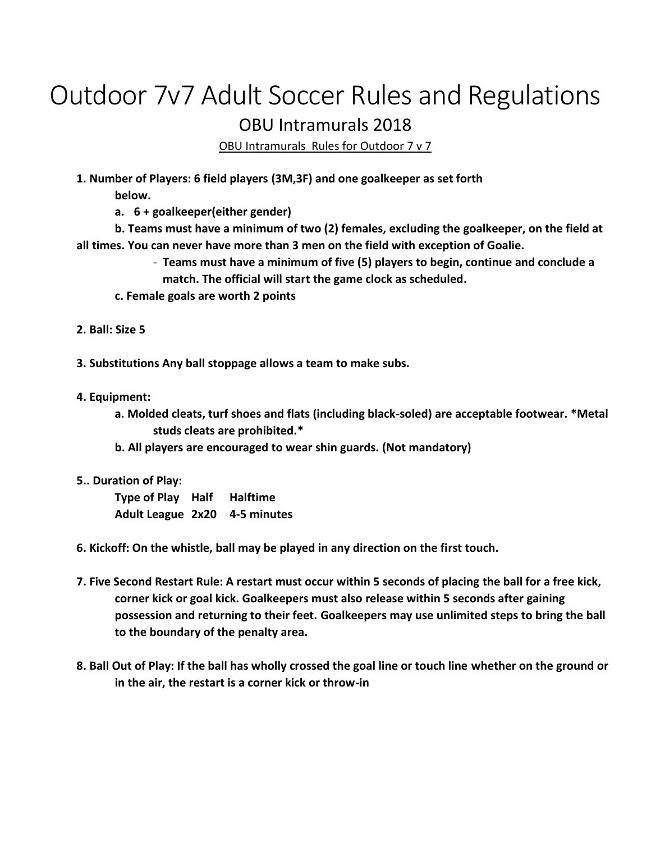## Outdoor 7v7 Adult Soccer Rules and Regulations OBU Intramurals 2018

OBU Intramurals Rules for Outdoor 7 v 7

**1. Number of Players: 6 field players (3M,3F) and one goalkeeper as set forth**

**below.**

**a. 6 + goalkeeper(either gender)**

**b. Teams must have a minimum of two (2) females, excluding the goalkeeper, on the field at all times. You can never have more than 3 men on the field with exception of Goalie.**

> - **Teams must have a minimum of five (5) players to begin, continue and conclude a match. The official will start the game clock as scheduled.**

- **c. Female goals are worth 2 points**
- **2. Ball: Size 5**

**3. Substitutions Any ball stoppage allows a team to make subs.**

- **4. Equipment:**
	- **a. Molded cleats, turf shoes and flats (including black-soled) are acceptable footwear. \*Metal studs cleats are prohibited.\***
	- **b. All players are encouraged to wear shin guards. (Not mandatory)**
- **5.. Duration of Play:**

**Type of Play Half Halftime Adult League 2x20 4-5 minutes**

- **6. Kickoff: On the whistle, ball may be played in any direction on the first touch.**
- **7. Five Second Restart Rule: A restart must occur within 5 seconds of placing the ball for a free kick, corner kick or goal kick. Goalkeepers must also release within 5 seconds after gaining possession and returning to their feet. Goalkeepers may use unlimited steps to bring the ball to the boundary of the penalty area.**
- **8. Ball Out of Play: If the ball has wholly crossed the goal line or touch line whether on the ground or in the air, the restart is a corner kick or throw-in**